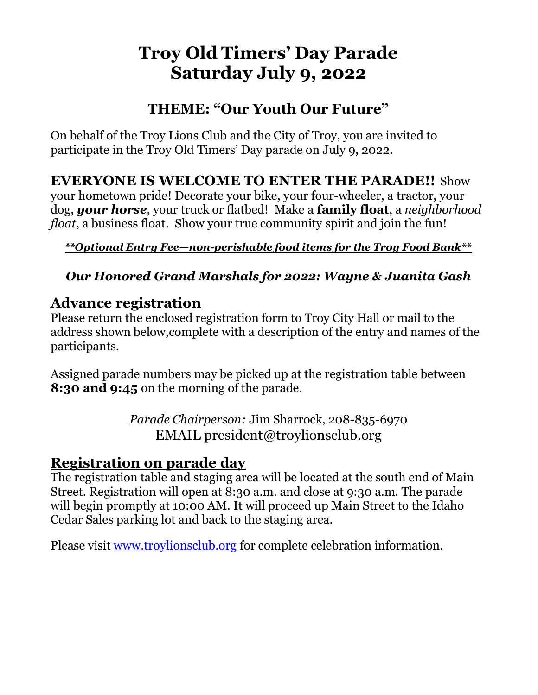# Troy Old Timers' Day Parade Saturday July 9, 2022

# THEME: "Our Youth Our Future"

On behalf of the Troy Lions Club and the City of Troy, you are invited to participate in the Troy Old Timers' Day parade on July 9, 2022.

EVERYONE IS WELCOME TO ENTER THE PARADE!! Show your hometown pride! Decorate your bike, your four-wheeler, a tractor, your dog, your horse, your truck or flatbed! Make a family float, a neighborhood float, a business float. Show your true community spirit and join the fun!

#### \*\*Optional Entry Fee—non-perishable food items for the Troy Food Bank\*\*

## Our Honored Grand Marshals for 2022: Wayne & Juanita Gash

## Advance registration

Please return the enclosed registration form to Troy City Hall or mail to the address shown below, complete with a description of the entry and names of the participants.

Assigned parade numbers may be picked up at the registration table between **8:30 and 9:45** on the morning of the parade.

> Parade Chairperson: Jim Sharrock, 208-835-6970 EMAIL president@troylionsclub.org

#### Registration on parade day

The registration table and staging area will be located at the south end of Main Street. Registration will open at 8:30 a.m. and close at 9:30 a.m. The parade will begin promptly at 10:00 AM. It will proceed up Main Street to the Idaho Cedar Sales parking lot and back to the staging area.

Please visit www.troylionsclub.org for complete celebration information.